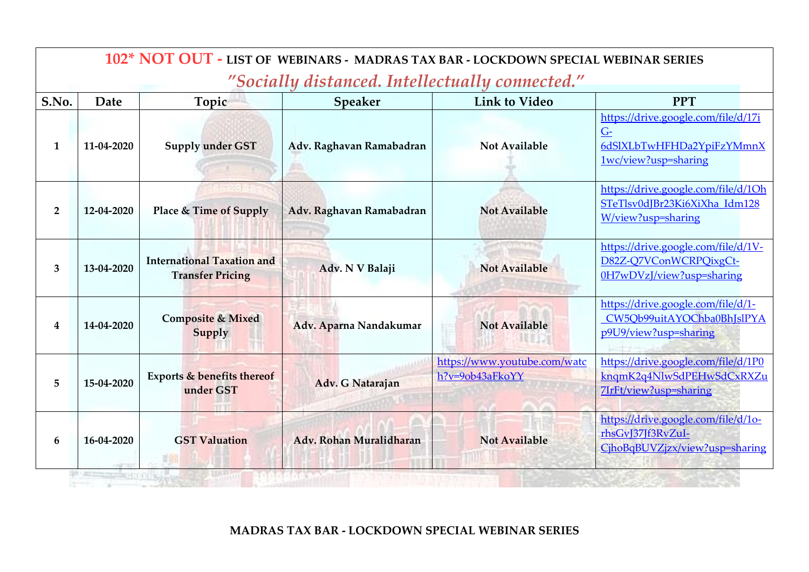|                | 102* NOT OUT - LIST OF WEBINARS - MADRAS TAX BAR - LOCKDOWN SPECIAL WEBINAR SERIES<br>"Socially distanced. Intellectually connected." |                                                              |                          |                                                 |                                                                                                  |  |  |  |
|----------------|---------------------------------------------------------------------------------------------------------------------------------------|--------------------------------------------------------------|--------------------------|-------------------------------------------------|--------------------------------------------------------------------------------------------------|--|--|--|
| S.No.          | Date                                                                                                                                  | Topic                                                        | <b>Speaker</b>           | <b>Link to Video</b>                            | <b>PPT</b>                                                                                       |  |  |  |
| $\mathbf{1}$   | 11-04-2020                                                                                                                            | <b>Supply under GST</b>                                      | Adv. Raghavan Ramabadran | <b>Not Available</b>                            | https://drive.google.com/file/d/17i<br>$G-$<br>6dSlXLbTwHFHDa2YpiFzYMmnX<br>1wc/view?usp=sharing |  |  |  |
| $\overline{2}$ | 12-04-2020                                                                                                                            | Place & Time of Supply                                       | Adv. Raghavan Ramabadran | <b>Not Available</b>                            | https://drive.google.com/file/d/1Oh<br>STeTlsv0dJBr23Ki6XiXha Idm128<br>W/view?usp=sharing       |  |  |  |
| 3              | 13-04-2020                                                                                                                            | <b>International Taxation and</b><br><b>Transfer Pricing</b> | Adv. N V Balaji          | <b>Not Available</b>                            | https://drive.google.com/file/d/1V-<br>D82Z-Q7VConWCRPQixgCt-<br>0H7wDVzJ/view?usp=sharing       |  |  |  |
| 4              | 14-04-2020                                                                                                                            | <b>Composite &amp; Mixed</b><br>Supply                       | Adv. Aparna Nandakumar   | <b>Not Available</b>                            | https://drive.google.com/file/d/1-<br>CW5Qb99uitAYOChba0BhJslPYA<br>p9U9/view?usp=sharing        |  |  |  |
| 5              | 15-04-2020                                                                                                                            | Exports & benefits thereof<br>under GST                      | Adv. G Natarajan         | https://www.youtube.com/watc<br>h?v=9ob43aFkoYY | https://drive.google.com/file/d/1P0<br>knqmK2q4NlwSdPEHwSdCxRXZu<br>7IrFt/view?usp=sharing       |  |  |  |
| 6              | 16-04-2020                                                                                                                            | <b>GST Valuation</b>                                         | Adv. Rohan Muralidharan  | <b>Not Available</b>                            | https://drive.google.com/file/d/10-<br>rhsGvJ37Jf3RvZuI-<br>CjhoBqBUVZjzx/view?usp=sharing       |  |  |  |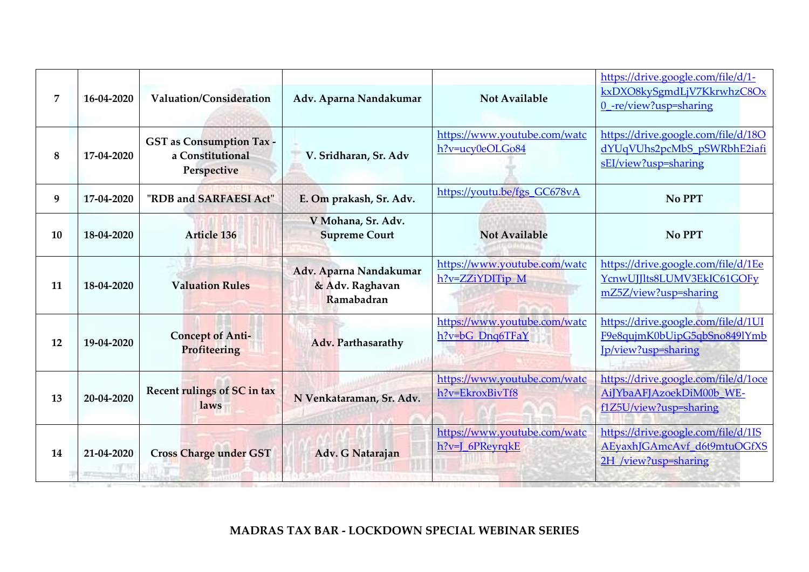| $\overline{7}$ | 16-04-2020 | Valuation/Consideration                                            | Adv. Aparna Nandakumar                                  | <b>Not Available</b>                            | https://drive.google.com/file/d/1-<br>kxDXO8kySgmdLjV7KkrwhzC8Ox<br>0_-re/view?usp=sharing |
|----------------|------------|--------------------------------------------------------------------|---------------------------------------------------------|-------------------------------------------------|--------------------------------------------------------------------------------------------|
| 8              | 17-04-2020 | <b>GST</b> as Consumption Tax -<br>a Constitutional<br>Perspective | V. Sridharan, Sr. Adv                                   | https://www.youtube.com/watc<br>h?v=ucy0eOLGo84 | https://drive.google.com/file/d/18O<br>dYUqVUhs2pcMbS pSWRbhE2iafi<br>sEI/view?usp=sharing |
| 9              | 17-04-2020 | "RDB and SARFAESI Act"                                             | E. Om prakash, Sr. Adv.                                 | https://youtu.be/fgs GC678vA                    | No PPT                                                                                     |
| 10             | 18-04-2020 | <b>Article 136</b>                                                 | V Mohana, Sr. Adv.<br><b>Supreme Court</b>              | <b>Not Available</b>                            | No PPT                                                                                     |
| 11             | 18-04-2020 | <b>Valuation Rules</b>                                             | Adv. Aparna Nandakumar<br>& Adv. Raghavan<br>Ramabadran | https://www.youtube.com/watc<br>h?v=ZZiYDITip M | https://drive.google.com/file/d/1Ee<br>YcnwUJJIts8LUMV3EkIC61GOFy<br>mZ5Z/view?usp=sharing |
| 12             | 19-04-2020 | <b>Concept of Anti-</b><br>Profiteering                            | Adv. Parthasarathy                                      | https://www.youtube.com/watc<br>h?v=bG_Dnq6TFaY | https://drive.google.com/file/d/1UI<br>F9e8qujmK0bUipG5qbSno849lYmb<br>Jp/view?usp=sharing |
| 13             | 20-04-2020 | Recent rulings of SC in tax<br>laws                                | N Venkataraman, Sr. Adv.                                | https://www.youtube.com/watc<br>h?v=EkroxBivTf8 | https://drive.google.com/file/d/1oce<br>AiJYbaAFJAzoekDiM00b WE-<br>f1Z5U/view?usp=sharing |
| 14             | 21-04-2020 | <b>Cross Charge under GST</b>                                      | Adv. G Natarajan                                        | https://www.youtube.com/watc<br>h?v=J_6PReyrqkE | https://drive.google.com/file/d/1IS<br>AEyaxhJGAmcAvf d6t9mtuOGfXS<br>2H /view?usp=sharing |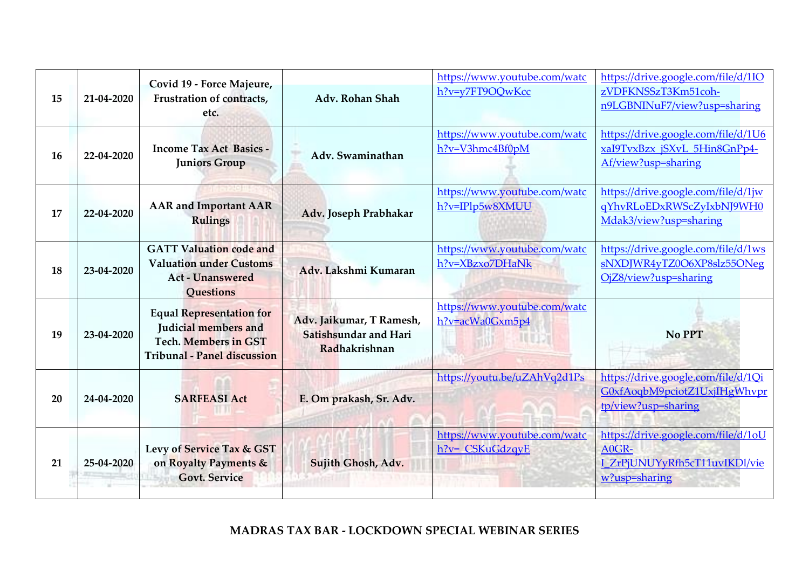| 15 | 21-04-2020 | Covid 19 - Force Majeure,<br>Frustration of contracts,<br>etc.                                                               | Adv. Rohan Shah                                                    | https://www.youtube.com/watc<br>h?v=y7FT9OQwKcc | https://drive.google.com/file/d/1IO<br>zVDFKNSSzT3Km51coh-<br>n9LGBNINuF7/view?usp=sharing     |
|----|------------|------------------------------------------------------------------------------------------------------------------------------|--------------------------------------------------------------------|-------------------------------------------------|------------------------------------------------------------------------------------------------|
| 16 | 22-04-2020 | <b>Income Tax Act Basics -</b><br><b>Juniors Group</b>                                                                       | Adv. Swaminathan                                                   | https://www.youtube.com/watc<br>h?v=V3hmc4Bf0pM | https://drive.google.com/file/d/1U6<br>xaI9TvxBzx jSXvL 5Hin8GnPp4-<br>Af/view?usp=sharing     |
| 17 | 22-04-2020 | <b>AAR</b> and Important AAR<br><b>Rulings</b>                                                                               | Adv. Joseph Prabhakar                                              | https://www.youtube.com/watc<br>h?v=IPlp5w8XMUU | https://drive.google.com/file/d/1jw<br>qYhvRLoEDxRWScZyIxbNJ9WH0<br>Mdak3/view?usp=sharing     |
| 18 | 23-04-2020 | <b>GATT Valuation code and</b><br><b>Valuation under Customs</b><br><b>Act - Unanswered</b><br>Questions                     | Adv. Lakshmi Kumaran                                               | https://www.youtube.com/watc<br>h?v=XBzxo7DHaNk | https://drive.google.com/file/d/1ws<br>sNXDJWR4yTZ0O6XP8slz55ONeg<br>OjZ8/view?usp=sharing     |
| 19 | 23-04-2020 | <b>Equal Representation for</b><br>Judicial members and<br><b>Tech. Members in GST</b><br><b>Tribunal - Panel discussion</b> | Adv. Jaikumar, T Ramesh,<br>Satishsundar and Hari<br>Radhakrishnan | https://www.youtube.com/watc<br>h?v=acWa0Gxm5p4 | No PPT                                                                                         |
| 20 | 24-04-2020 | <b>SARFEASI Act</b>                                                                                                          | E. Om prakash, Sr. Adv.                                            | https://youtu.be/uZAhVq2d1Ps                    | https://drive.google.com/file/d/1Qi<br>G0xfAoqbM9pciotZ1UxjIHgWhvpr<br>tp/view?usp=sharing     |
| 21 | 25-04-2020 | Levy of Service Tax & GST<br>on Royalty Payments &<br><b>Govt. Service</b>                                                   | Sujith Ghosh, Adv.                                                 | https://www.youtube.com/watc<br>h?v= CSKuGdzqyE | https://drive.google.com/file/d/1oU<br>A0GR-<br>I ZrPjUNUYyRfh5cT11uvIKDl/vie<br>w?usp=sharing |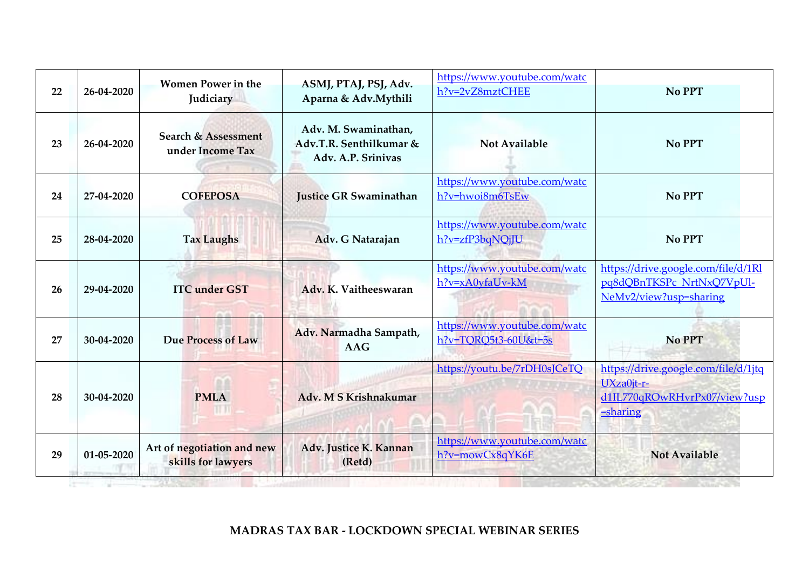| 22 | 26-04-2020 | <b>Women Power in the</b><br>Judiciary           | ASMJ, PTAJ, PSJ, Adv.<br>Aparna & Adv.Mythili                         | https://www.youtube.com/watc<br>h?v=2vZ8mztCHEE      | No PPT                                                                                            |
|----|------------|--------------------------------------------------|-----------------------------------------------------------------------|------------------------------------------------------|---------------------------------------------------------------------------------------------------|
| 23 | 26-04-2020 | Search & Assessment<br>under Income Tax          | Adv. M. Swaminathan,<br>Adv.T.R. Senthilkumar &<br>Adv. A.P. Srinivas | <b>Not Available</b>                                 | No PPT                                                                                            |
| 24 | 27-04-2020 | <b>COFEPOSA</b>                                  | <b>Justice GR Swaminathan</b>                                         | https://www.youtube.com/watc<br>h?v=hwoi8m6TsEw      | No PPT                                                                                            |
| 25 | 28-04-2020 | <b>Tax Laughs</b>                                | Adv. G Natarajan                                                      | https://www.youtube.com/watc<br>h?v=zfP3bqNQjJU      | No PPT                                                                                            |
| 26 | 29-04-2020 | <b>ITC</b> under GST                             | Adv. K. Vaitheeswaran                                                 | https://www.youtube.com/watc<br>h?v=xA0yfaUv-kM      | https://drive.google.com/file/d/1Rl<br>pq8dQBnTKSPc NrtNxQ7VpUl-<br>NeMv2/view?usp=sharing        |
| 27 | 30-04-2020 | Due Process of Law                               | Adv. Narmadha Sampath,<br><b>AAG</b>                                  | https://www.youtube.com/watc<br>h?v=TQRQ5t3-60U&t=5s | <b>No PPT</b>                                                                                     |
| 28 | 30-04-2020 | <b>PMLA</b>                                      | Adv. M S Krishnakumar                                                 | https://youtu.be/7rDH0sJCeTQ                         | https://drive.google.com/file/d/1jtq<br>UXza0jt-r-<br>d1IL770qROwRHvrPx07/view?usp<br>$=$ sharing |
| 29 | 01-05-2020 | Art of negotiation and new<br>skills for lawyers | Adv. Justice K. Kannan<br>(Retd)                                      | https://www.youtube.com/watc<br>h?v=mowCx8qYK6E      | <b>Not Available</b>                                                                              |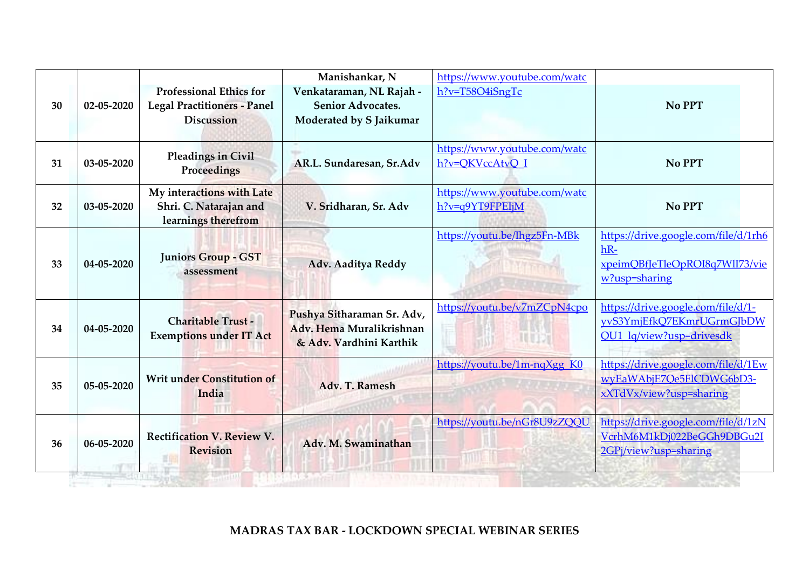| 30<br>31 | 02-05-2020<br>03-05-2020 | <b>Professional Ethics for</b><br><b>Legal Practitioners - Panel</b><br><b>Discussion</b><br><b>Pleadings in Civil</b> | Manishankar, N<br>Venkataraman, NL Rajah -<br><b>Senior Advocates.</b><br>Moderated by S Jaikumar<br>AR.L. Sundaresan, Sr.Adv | https://www.youtube.com/watc<br>$h$ ?v=T58O4iSngTc<br>https://www.youtube.com/watc<br>h?v=QKVccAtvQ I | No PPT<br>No PPT                                                                                    |
|----------|--------------------------|------------------------------------------------------------------------------------------------------------------------|-------------------------------------------------------------------------------------------------------------------------------|-------------------------------------------------------------------------------------------------------|-----------------------------------------------------------------------------------------------------|
| 32       | 03-05-2020               | Proceedings<br>My interactions with Late<br>Shri. C. Natarajan and<br>learnings therefrom                              | V. Sridharan, Sr. Adv                                                                                                         | https://www.youtube.com/watc<br>h?v=q9YT9FPEIjM                                                       | No PPT                                                                                              |
| 33       | 04-05-2020               | <b>Juniors Group - GST</b><br>assessment                                                                               | Adv. Aaditya Reddy                                                                                                            | https://youtu.be/Ihgz5Fn-MBk                                                                          | https://drive.google.com/file/d/1rh6<br>$hR-$<br>xpeimQBfJeTleOpROI8q7WlI73/vie<br>$w$ ?usp=sharing |
| 34       | 04-05-2020               | <b>Charitable Trust -</b><br><b>Exemptions under IT Act</b>                                                            | Pushya Sitharaman Sr. Adv,<br>Adv. Hema Muralikrishnan<br>& Adv. Vardhini Karthik                                             | https://youtu.be/v7mZCpN4cpo<br><b>TUDA</b>                                                           | https://drive.google.com/file/d/1-<br>yvS3YmjEfkQ7EKmrUGrmGJbDW<br>QU1 lq/view?usp=drivesdk         |
| 35       | 05-05-2020               | <b>Writ under Constitution of</b><br>India                                                                             | Adv. T. Ramesh                                                                                                                | https://youtu.be/1m-nqXgg_K0                                                                          | https://drive.google.com/file/d/1Ew<br>wyEaWAbjE7Qe5FlCDWG6bD3-<br>xXTdVx/view?usp=sharing          |
| 36       | 06-05-2020               | <b>Rectification V. Review V.</b><br><b>Revision</b>                                                                   | Adv. M. Swaminathan                                                                                                           | https://youtu.be/nGr8U9zZQQU                                                                          | https://drive.google.com/file/d/1zN<br>VcrhM6M1kDj022BeGGh9DBGu2I<br>2GPj/view?usp=sharing          |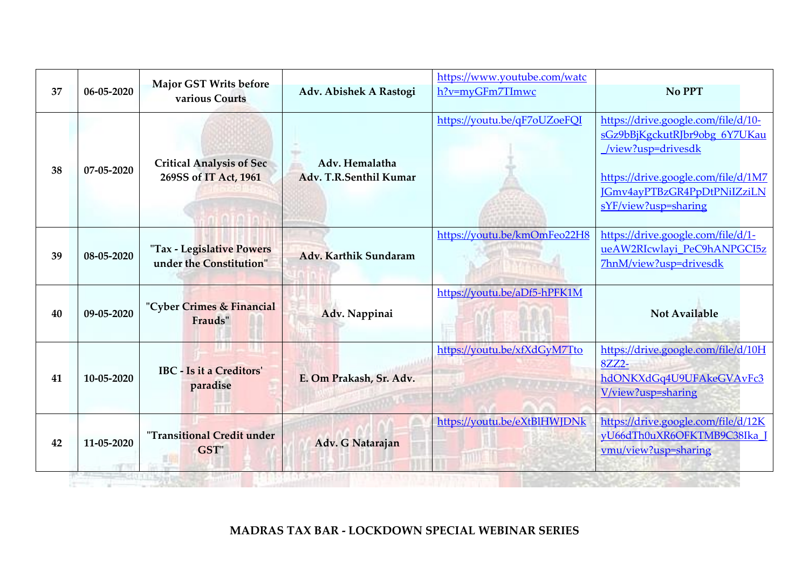| 37 | 06-05-2020 | <b>Major GST Writs before</b><br>various Courts          | Adv. Abishek A Rastogi                   | https://www.youtube.com/watc<br>h?v=myGFm7TImwc | No PPT                                                                                                                                                                                   |
|----|------------|----------------------------------------------------------|------------------------------------------|-------------------------------------------------|------------------------------------------------------------------------------------------------------------------------------------------------------------------------------------------|
| 38 | 07-05-2020 | <b>Critical Analysis of Sec</b><br>269SS of IT Act, 1961 | Adv. Hemalatha<br>Adv. T.R.Senthil Kumar | https://youtu.be/qF7oUZoeFQI                    | https://drive.google.com/file/d/10-<br>sGz9bBjKgckutRJbr9obg 6Y7UKau<br>/view?usp=drivesdk<br>https://drive.google.com/file/d/1M7<br>JGmv4ayPTBzGR4PpDtPNiIZziLN<br>sYF/view?usp=sharing |
| 39 | 08-05-2020 | "Tax - Legislative Powers<br>under the Constitution"     | Adv. Karthik Sundaram                    | https://youtu.be/kmOmFeo22H8                    | https://drive.google.com/file/d/1-<br>ueAW2RIcwlayi PeC9hANPGCI5z<br>7hnM/view?usp=drivesdk                                                                                              |
| 40 | 09-05-2020 | "Cyber Crimes & Financial<br>Frauds"                     | Adv. Nappinai                            | https://youtu.be/aDf5-hPFK1M                    | <b>Not Available</b>                                                                                                                                                                     |
| 41 | 10-05-2020 | <b>IBC</b> - Is it a Creditors'<br>paradise              | E. Om Prakash, Sr. Adv.                  | https://youtu.be/xfXdGyM7Tto                    | https://drive.google.com/file/d/10H<br>8ZZ2-<br>hdONKXdGq4U9UFAkeGVAvFc3<br>V/view?usp=sharing                                                                                           |
| 42 | 11-05-2020 | "Transitional Credit under<br>GST"                       | Adv. G Natarajan                         | https://youtu.be/eXtBlHWJDNk                    | https://drive.google.com/file/d/12K<br>vU66dTh0uXR6OFKTMB9C38Ika<br>vmu/view?usp=sharing                                                                                                 |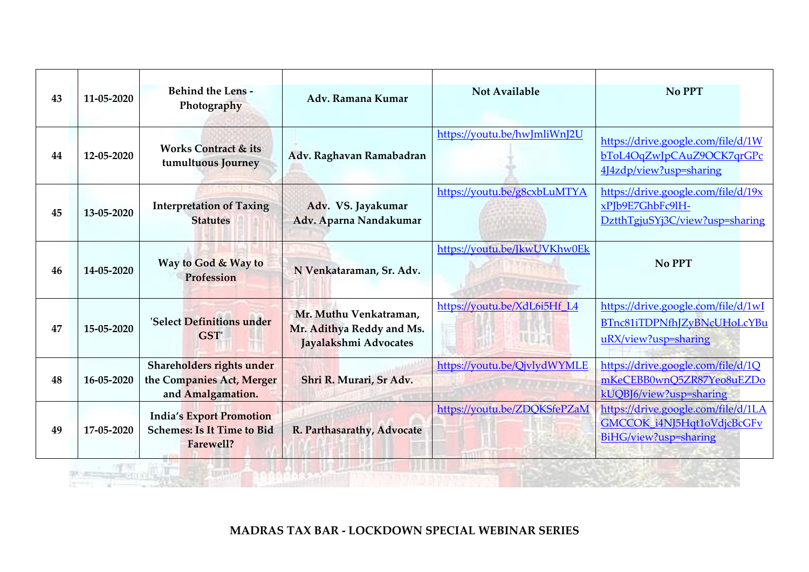| 43 | 11-05-2020 | <b>Behind the Lens -</b><br>Photography                                           | Adv. Ramana Kumar                                                            | <b>Not Available</b>                           | No PPT                                                                                     |
|----|------------|-----------------------------------------------------------------------------------|------------------------------------------------------------------------------|------------------------------------------------|--------------------------------------------------------------------------------------------|
| 44 | 12-05-2020 | <b>Works Contract &amp; its</b><br>tumultuous Journey                             | Adv. Raghavan Ramabadran                                                     | https://youtu.be/hwJmliWnJ2U                   | https://drive.google.com/file/d/1W<br>bToL4OqZwJpCAuZ9OCK7qrGPc<br>4J4zdp/view?usp=sharing |
| 45 | 13-05-2020 | <b>Interpretation of Taxing</b><br><b>Statutes</b>                                | Adv. VS. Jayakumar<br>Adv. Aparna Nandakumar                                 | https://youtu.be/g8cxbLuMTYA                   | https://drive.google.com/file/d/19x<br>xPJb9E7GhbFc9lH-<br>DztthTgjuSYj3C/view?usp=sharing |
| 46 | 14-05-2020 | Way to God & Way to<br>Profession                                                 | N Venkataraman, Sr. Adv.                                                     | https://youtu.be/JkwUVKhw0Ek                   | No PPT                                                                                     |
| 47 | 15-05-2020 | 'Select Definitions under<br>GST'                                                 | Mr. Muthu Venkatraman,<br>Mr. Adithya Reddy and Ms.<br>Jayalakshmi Advocates | https://youtu.be/XdL6i5Hf L4<br><b>IL DOM:</b> | https://drive.google.com/file/d/1wI<br>BTnc81iTDPNfhJZyBNcUHoLcYBu<br>uRX/view?usp=sharing |
| 48 | 16-05-2020 | Shareholders rights under<br>the Companies Act, Merger<br>and Amalgamation.       | Shri R. Murari, Sr Adv.                                                      | https://youtu.be/QjvlydWYMLE                   | https://drive.google.com/file/d/1Q<br>mKeCEBB0wnQ5ZR87Yeo8uEZDo<br>kUQBJ6/view?usp=sharing |
| 49 | 17-05-2020 | <b>India's Export Promotion</b><br><b>Schemes: Is It Time to Bid</b><br>Farewell? | R. Parthasarathy, Advocate                                                   | https://youtu.be/ZDQKSfePZaM                   | https://drive.google.com/file/d/1LA<br>GMCCOK i4NJ5Hqt1oVdjcBcGFv<br>BiHG/view?usp=sharing |

**THE REPORT FOR A** 

表现三个

 $-1 - 1 - 1 - 1 = 0$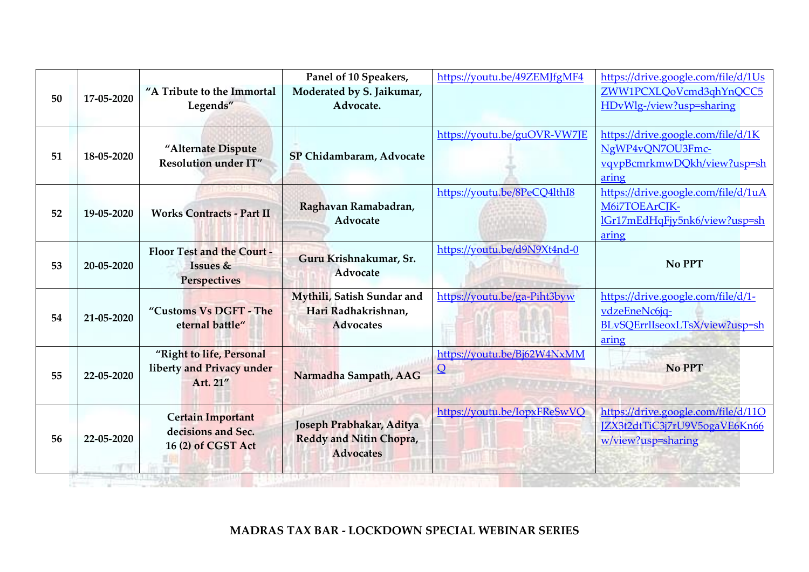| 50 | 17-05-2020 | "A Tribute to the Immortal<br>Legends"                               | Panel of 10 Speakers,<br>Moderated by S. Jaikumar,<br>Advocate.                | https://youtu.be/49ZEMJfgMF4            | https://drive.google.com/file/d/1Us<br>ZWW1PCXLQoVcmd3qhYnQCC5<br>HDvWlg-/view?usp=sharing     |
|----|------------|----------------------------------------------------------------------|--------------------------------------------------------------------------------|-----------------------------------------|------------------------------------------------------------------------------------------------|
| 51 | 18-05-2020 | "Alternate Dispute<br>Resolution under IT"                           | SP Chidambaram, Advocate                                                       | https://youtu.be/guOVR-VW7JE            | https://drive.google.com/file/d/1K<br>NgWP4vON7OU3Fmc-<br>vqvpBcmrkmwDQkh/view?usp=sh<br>aring |
| 52 | 19-05-2020 | <b>Works Contracts - Part II</b>                                     | Raghavan Ramabadran,<br>Advocate                                               | https://youtu.be/8PeCQ4lthI8            | https://drive.google.com/file/d/1uA<br>M6i7TOEArCJK-<br>lGr17mEdHqFjv5nk6/view?usp=sh<br>aring |
| 53 | 20-05-2020 | <b>Floor Test and the Court -</b><br>Issues &<br><b>Perspectives</b> | Guru Krishnakumar, Sr.<br><b>Advocate</b>                                      | https://youtu.be/d9N9Xt4nd-0            | No PPT                                                                                         |
| 54 | 21-05-2020 | "Customs Vs DGFT - The<br>eternal battle"                            | Mythili, Satish Sundar and<br>Hari Radhakrishnan,<br><b>Advocates</b>          | https://youtu.be/ga-Piht3byw            | https://drive.google.com/file/d/1-<br>vdzeEneNc6jq-<br>BLvSQErrlIseoxLTsX/view?usp=sh<br>aring |
| 55 | 22-05-2020 | "Right to life, Personal<br>liberty and Privacy under<br>Art. 21"    | Narmadha Sampath, AAG                                                          | https://youtu.be/Bj62W4NxMM<br>$\Omega$ | <b>No PPT</b>                                                                                  |
| 56 | 22-05-2020 | <b>Certain Important</b><br>decisions and Sec.<br>16 (2) of CGST Act | Joseph Prabhakar, Aditya<br><b>Reddy and Nitin Chopra,</b><br><b>Advocates</b> | https://youtu.be/IopxFReSwVQ            | https://drive.google.com/file/d/11O<br>JZX3t2dtTiC3j7rU9V5ogaVE6Kn66<br>w/view?usp=sharing     |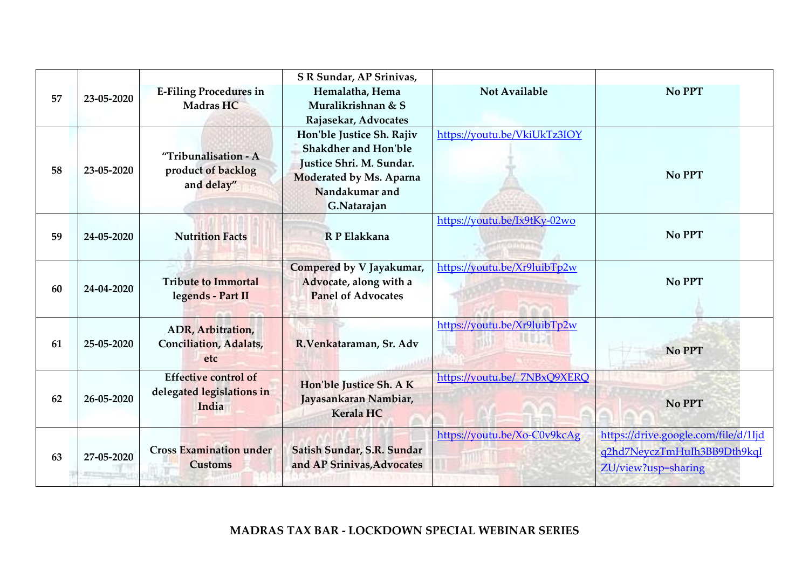| 57 | 23-05-2020 | <b>E-Filing Procedures in</b><br>Madras HC                        | S R Sundar, AP Srinivas,<br>Hemalatha, Hema<br>Muralikrishnan & S<br>Rajasekar, Advocates                                                        | <b>Not Available</b>         | No PPT                                                                                     |
|----|------------|-------------------------------------------------------------------|--------------------------------------------------------------------------------------------------------------------------------------------------|------------------------------|--------------------------------------------------------------------------------------------|
| 58 | 23-05-2020 | "Tribunalisation - A<br>product of backlog<br>and delay"          | Hon'ble Justice Sh. Rajiv<br><b>Shakdher and Hon'ble</b><br>Justice Shri. M. Sundar.<br>Moderated by Ms. Aparna<br>Nandakumar and<br>G.Natarajan | https://youtu.be/VkiUkTz3IOY | No PPT                                                                                     |
| 59 | 24-05-2020 | <b>Nutrition Facts</b>                                            | R P Elakkana                                                                                                                                     | https://youtu.be/Ix9tKy-02wo | No PPT                                                                                     |
| 60 | 24-04-2020 | <b>Tribute to Immortal</b><br>legends - Part II                   | Compered by V Jayakumar,<br>Advocate, along with a<br><b>Panel of Advocates</b>                                                                  | https://youtu.be/Xr9luibTp2w | No PPT                                                                                     |
| 61 | 25-05-2020 | ADR, Arbitration,<br><b>Conciliation</b> , Adalats,<br>etc        | R.Venkataraman, Sr. Adv                                                                                                                          | https://youtu.be/Xr9luibTp2w | No PPT                                                                                     |
| 62 | 26-05-2020 | <b>Effective control of</b><br>delegated legislations in<br>India | Hon'ble Justice Sh. A K<br>Jayasankaran Nambiar,<br>Kerala HC                                                                                    | https://youtu.be/ 7NBxQ9XERQ | No PPT                                                                                     |
| 63 | 27-05-2020 | <b>Cross Examination under</b><br><b>Customs</b>                  | Satish Sundar, S.R. Sundar<br>and AP Srinivas, Advocates                                                                                         | https://youtu.be/Xo-C0v9kcAg | https://drive.google.com/file/d/1Ijd<br>g2hd7NeyczTmHuIh3BB9Dth9kqI<br>ZU/view?usp=sharing |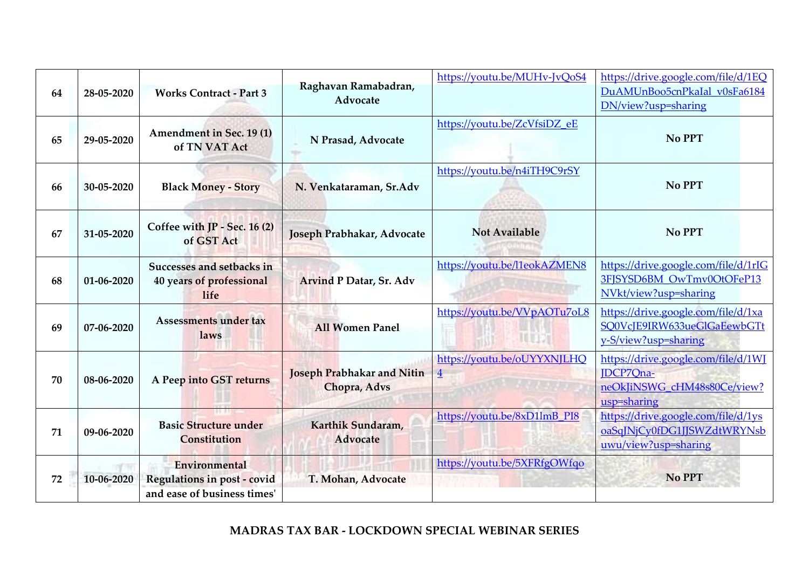|    |            |                                                                             | Raghavan Ramabadran,                              | https://youtu.be/MUHv-JvQoS4                  | https://drive.google.com/file/d/1EQ                                                                   |
|----|------------|-----------------------------------------------------------------------------|---------------------------------------------------|-----------------------------------------------|-------------------------------------------------------------------------------------------------------|
| 64 | 28-05-2020 | <b>Works Contract - Part 3</b>                                              | Advocate                                          |                                               | DuAMUnBoo5cnPkaIal v0sFa6184<br>DN/view?usp=sharing                                                   |
| 65 | 29-05-2020 | <b>Amendment in Sec. 19(1)</b><br>of TN VAT Act                             | N Prasad, Advocate                                | https://youtu.be/ZcVfsiDZ eE                  | No PPT                                                                                                |
| 66 | 30-05-2020 | <b>Black Money - Story</b>                                                  | N. Venkataraman, Sr.Adv                           | https://youtu.be/n4iTH9C9rSY                  | No PPT                                                                                                |
| 67 | 31-05-2020 | Coffee with JP - Sec. 16 (2)<br>of GST Act                                  | Joseph Prabhakar, Advocate                        | <b>Not Available</b>                          | No PPT                                                                                                |
| 68 | 01-06-2020 | Successes and setbacks in<br>40 years of professional<br>life               | <b>Arvind P Datar, Sr. Adv</b>                    | https://youtu.be/l1eokAZMEN8                  | https://drive.google.com/file/d/1rIG<br>3FJSYSD6BM OwTmv0OtOFeP13<br>NVkt/view?usp=sharing            |
| 69 | 07-06-2020 | <b>Assessments under tax</b><br>laws                                        | <b>All Women Panel</b>                            | https://youtu.be/VVpAOTu7oL8                  | https://drive.google.com/file/d/1xa<br>SQ0VcJE9IRW633ueGlGaEewbGTt<br>y-S/view?usp=sharing            |
| 70 | 08-06-2020 | A Peep into GST returns                                                     | <b>Joseph Prabhakar and Nitin</b><br>Chopra, Advs | https://youtu.be/oUYYXNJLHQ<br>$\overline{4}$ | https://drive.google.com/file/d/1WJ<br><b>IDCP7Ona-</b><br>neOkJiNSWG cHM48s80Ce/view?<br>usp=sharing |
| 71 | 09-06-2020 | <b>Basic Structure under</b><br><b>Constitution</b>                         | Karthik Sundaram,<br>Advocate                     | https://youtu.be/8xD1lmB PI8                  | https://drive.google.com/file/d/1ys<br>oaSqJNjCy0fDG1JJSWZdtWRYNsb<br>uwu/view?usp=sharing            |
| 72 | 10-06-2020 | Environmental<br>Regulations in post - covid<br>and ease of business times' | T. Mohan, Advocate                                | https://youtu.be/5XFRfgOWfqo                  | <b>No PPT</b>                                                                                         |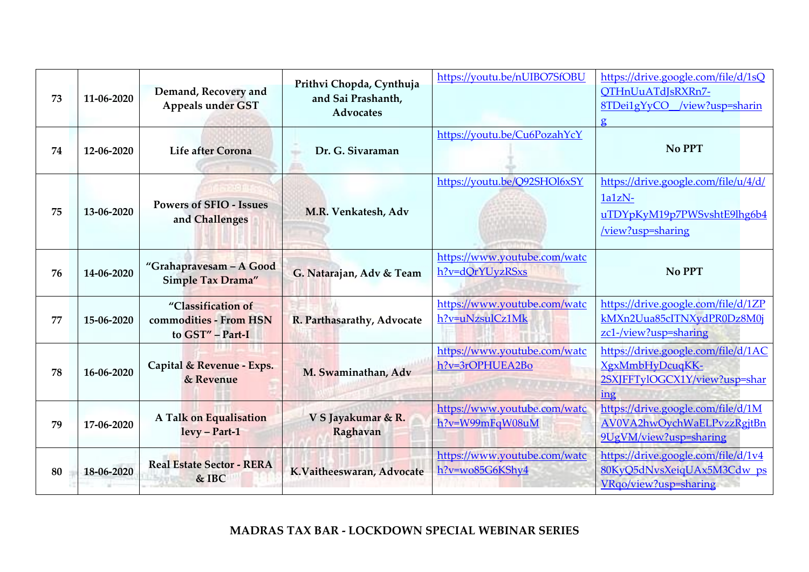| 73 | 11-06-2020 | Demand, Recovery and<br><b>Appeals under GST</b>                 | Prithvi Chopda, Cynthuja<br>and Sai Prashanth,<br><b>Advocates</b> | https://youtu.be/nUIBO7SfOBU                       | https://drive.google.com/file/d/1sQ<br>OTHnUuATdJsRXRn7-<br>8TDei1gYvCO /view?usp=sharin<br>$\mathbf{g}$ |
|----|------------|------------------------------------------------------------------|--------------------------------------------------------------------|----------------------------------------------------|----------------------------------------------------------------------------------------------------------|
| 74 | 12-06-2020 | Life after Corona                                                | Dr. G. Sivaraman                                                   | https://youtu.be/Cu6PozahYcY                       | No PPT                                                                                                   |
| 75 | 13-06-2020 | <b>Powers of SFIO - Issues</b><br>and Challenges                 | M.R. Venkatesh, Adv                                                | https://youtu.be/Q92SHOl6xSY                       | https://drive.google.com/file/u/4/d/<br>$1a1zN-$<br>uTDYpKyM19p7PWSvshtE9lhg6b4<br>/view?usp=sharing     |
| 76 | 14-06-2020 | "Grahapravesam - A Good<br><b>Simple Tax Drama"</b>              | G. Natarajan, Adv & Team                                           | https://www.youtube.com/watc<br>h?v=dQrYUyzRSxs    | No PPT                                                                                                   |
| 77 | 15-06-2020 | "Classification of<br>commodities - From HSN<br>to GST" - Part-I | R. Parthasarathy, Advocate                                         | https://www.youtube.com/watc<br>h?v=uNzsulCz1Mk    | https://drive.google.com/file/d/1ZP<br>kMXn2Uua85cITNXydPR0Dz8M0j<br>zc1-/view?usp=sharing               |
| 78 | 16-06-2020 | Capital & Revenue - Exps.<br>& Revenue                           | M. Swaminathan, Adv                                                | https://www.youtube.com/watc<br>h?v=3rOPHUEA2Bo    | https://drive.google.com/file/d/1AC<br>XgxMmbHyDcuqKK-<br>2SXJFFTylOGCX1Y/view?usp=shar<br>ing           |
| 79 | 17-06-2020 | <b>A Talk on Equalisation</b><br>levy - Part-1                   | V S Jayakumar & R.<br>Raghavan                                     | https://www.youtube.com/watc<br>h?v=W99mFqW08uM    | https://drive.google.com/file/d/1M<br>AV0VA2hwOychWaELPvzzRgjtBn<br>9UgVM/view?usp=sharing               |
| 80 | 18-06-2020 | <b>Real Estate Sector - RERA</b><br>& IBC                        | K.Vaitheeswaran, Advocate                                          | https://www.youtube.com/watc<br>$h$ ?v=wo85G6KShy4 | https://drive.google.com/file/d/1v4<br>80KyQ5dNvsXeiqUAx5M3Cdw ps<br>VRgo/view?usp=sharing               |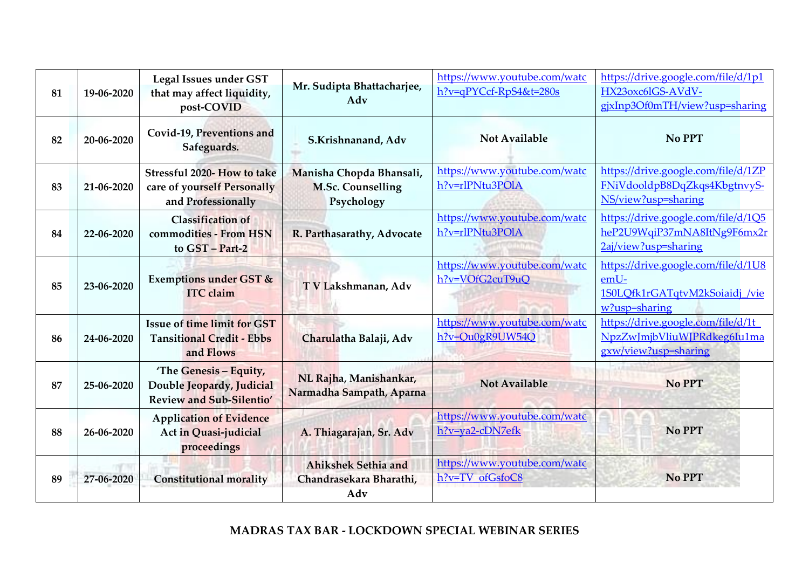| 81 | 19-06-2020 | Legal Issues under GST<br>that may affect liquidity,<br>post-COVID                     | Mr. Sudipta Bhattacharjee,<br>Adv                                  | https://www.youtube.com/watc<br>h?v=qPYCcf-RpS4&t=280s | https://drive.google.com/file/d/1p1<br>HX23oxc6lGS-AVdV-<br>gjxInp3Of0mTH/view?usp=sharing     |
|----|------------|----------------------------------------------------------------------------------------|--------------------------------------------------------------------|--------------------------------------------------------|------------------------------------------------------------------------------------------------|
| 82 | 20-06-2020 | Covid-19, Preventions and<br>Safeguards.                                               | S.Krishnanand, Adv                                                 | <b>Not Available</b>                                   | No PPT                                                                                         |
| 83 | 21-06-2020 | Stressful 2020- How to take<br>care of yourself Personally<br>and Professionally       | Manisha Chopda Bhansali,<br><b>M.Sc. Counselling</b><br>Psychology | https://www.youtube.com/watc<br>h?v=rlPNtu3POIA        | https://drive.google.com/file/d/1ZP<br>FNiVdooldpB8DqZkqs4KbgtnvyS-<br>NS/view?usp=sharing     |
| 84 | 22-06-2020 | <b>Classification</b> of<br>commodities - From HSN<br>to GST - Part-2                  | R. Parthasarathy, Advocate                                         | https://www.youtube.com/watc<br>h?v=rlPNtu3POlA        | https://drive.google.com/file/d/1Q5<br>heP2U9WqiP37mNA8ItNg9F6mx2r<br>2aj/view?usp=sharing     |
| 85 | 23-06-2020 | <b>Exemptions under GST &amp;</b><br><b>ITC</b> claim                                  | T V Lakshmanan, Adv                                                | https://www.youtube.com/watc<br>h?v=VOfG2cuT9uO        | https://drive.google.com/file/d/1U8<br>emU-<br>1S0LQfk1rGATqtvM2kSoiaidj /vie<br>w?usp=sharing |
| 86 | 24-06-2020 | <b>Issue of time limit for GST</b><br><b>Tansitional Credit - Ebbs</b><br>and Flows    | Charulatha Balaji, Adv                                             | https://www.youtube.com/watc<br>h?v=Qu0gR9UW54Q        | https://drive.google.com/file/d/1t<br>NpzZwJmjbVliuWJPRdkeg6Iu1ma<br>gxw/view?usp=sharing      |
| 87 | 25-06-2020 | 'The Genesis - Equity,<br>Double Jeopardy, Judicial<br><b>Review and Sub-Silentio'</b> | NL Rajha, Manishankar,<br>Narmadha Sampath, Aparna                 | <b>Not Available</b>                                   | No PPT                                                                                         |
| 88 | 26-06-2020 | <b>Application of Evidence</b><br>Act in Quasi-judicial<br>proceedings                 | A. Thiagarajan, Sr. Adv                                            | https://www.youtube.com/watc<br>h?v=ya2-cDN7efk        | No PPT                                                                                         |
| 89 | 27-06-2020 | <b>Constitutional morality</b>                                                         | <b>Ahikshek Sethia and</b><br>Chandrasekara Bharathi,<br>Adv       | https://www.youtube.com/watc<br>h?v=TV ofGsfoC8        | <b>No PPT</b>                                                                                  |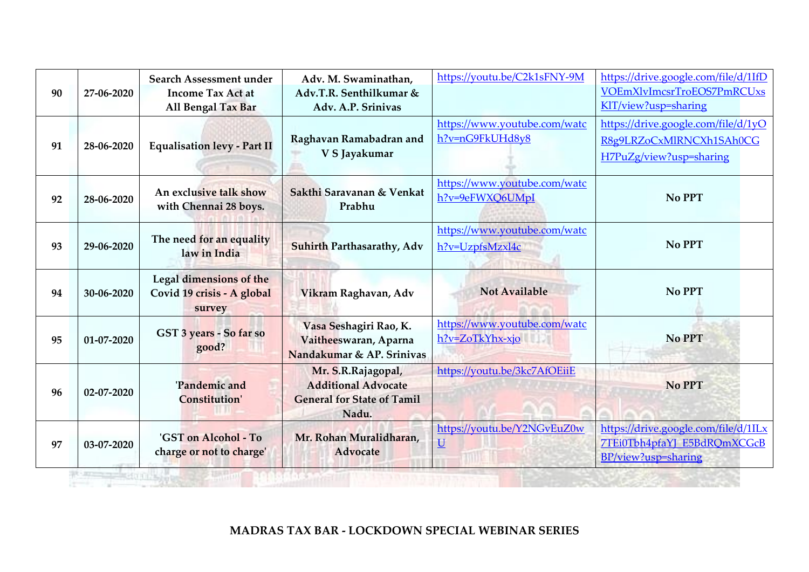| 90 | 27-06-2020 | Search Assessment under<br><b>Income Tax Act at</b><br>All Bengal Tax Bar | Adv. M. Swaminathan,<br>Adv.T.R. Senthilkumar &<br>Adv. A.P. Srinivas                          | https://youtu.be/C2k1sFNY-9M                            | https://drive.google.com/file/d/1IfD<br>VOEmXlvImcsrTroEOS7PmRCUxs<br>KIT/view?usp=sharing |  |  |  |
|----|------------|---------------------------------------------------------------------------|------------------------------------------------------------------------------------------------|---------------------------------------------------------|--------------------------------------------------------------------------------------------|--|--|--|
| 91 | 28-06-2020 | <b>Equalisation levy - Part II</b>                                        | Raghavan Ramabadran and<br>V S Jayakumar                                                       | https://www.youtube.com/watc<br>h?v=nG9FkUHd8y8         | https://drive.google.com/file/d/1yO<br>R8g9LRZoCxMlRNCXh1SAh0CG<br>H7PuZg/view?usp=sharing |  |  |  |
| 92 | 28-06-2020 | An exclusive talk show<br>with Chennai 28 boys.                           | Sakthi Sarayanan & Venkat<br>Prabhu                                                            | https://www.youtube.com/watc<br>h?v=9eFWXQ6UMpI         | No PPT                                                                                     |  |  |  |
| 93 | 29-06-2020 | The need for an equality<br>law in India                                  | Suhirth Parthasarathy, Adv                                                                     | https://www.youtube.com/watc<br>h?v=UzpfsMzxl4c         | No PPT                                                                                     |  |  |  |
| 94 | 30-06-2020 | Legal dimensions of the<br>Covid 19 crisis - A global<br>survey           | Vikram Raghavan, Adv                                                                           | <b>Not Available</b>                                    | No PPT                                                                                     |  |  |  |
| 95 | 01-07-2020 | GST 3 years - So far so<br>good?                                          | Vasa Seshagiri Rao, K.<br>Vaitheeswaran, Aparna<br>Nandakumar & AP. Srinivas                   | https://www.youtube.com/watc<br>h?v=ZoTkYhx-xjo         | <b>No PPT</b>                                                                              |  |  |  |
| 96 | 02-07-2020 | 'Pandemic and<br><b>Constitution'</b>                                     | Mr. S.R.Rajagopal,<br><b>Additional Advocate</b><br><b>General for State of Tamil</b><br>Nadu. | https://youtu.be/3kc7AfOEiiE                            | <b>No PPT</b>                                                                              |  |  |  |
| 97 | 03-07-2020 | 'GST on Alcohol - To<br>charge or not to charge'                          | Mr. Rohan Muralidharan,<br>Advocate                                                            | https://youtu.be/Y2NGvEuZ0w<br>$\underline{\mathsf{U}}$ | https://drive.google.com/file/d/1ILx<br>7TEi0Tbh4pfaYJ_E5BdRQmXCGcB<br>BP/view?usp=sharing |  |  |  |
|    |            |                                                                           |                                                                                                |                                                         |                                                                                            |  |  |  |